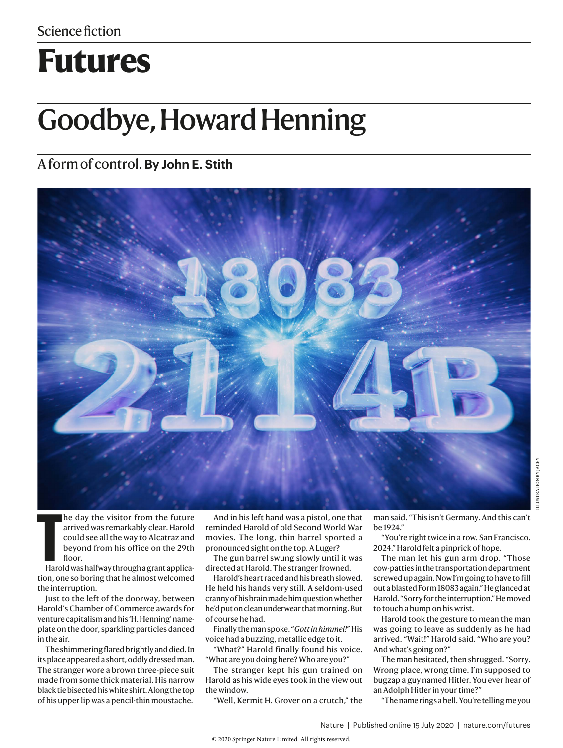# **Futures**

# Goodbye, Howard Henning

### A form of control. **By John E. Stith**



he day the visitor from the future arrived was remarkably clear. Harold could see all the way to Alcatraz and beyond from his office on the 29th floor.

**T**<br>Haro Harold was halfway through a grant application, one so boring that he almost welcomed the interruption.

Just to the left of the doorway, between Harold's Chamber of Commerce awards for venture capitalism and his 'H. Henning' nameplate on the door, sparkling particles danced in the air.

The shimmering flared brightly and died. In its place appeared a short, oddly dressed man. The stranger wore a brown three-piece suit made from some thick material. His narrow black tie bisected his white shirt. Along the top of his upper lip was a pencil-thin moustache.

And in his left hand was a pistol, one that reminded Harold of old Second World War movies. The long, thin barrel sported a pronounced sight on the top. A Luger?

The gun barrel swung slowly until it was directed at Harold. The stranger frowned.

Harold's heart raced and his breath slowed. He held his hands very still. A seldom-used cranny of his brain made him question whether he'd put on clean underwear that morning. But of course he had.

Finally the man spoke. "*Gott in himmel!*" His voice had a buzzing, metallic edge to it.

"What?" Harold finally found his voice. "What are you doing here? Who are you?"

The stranger kept his gun trained on Harold as his wide eyes took in the view out the window.

"Well, Kermit H. Grover on a crutch," the

man said. "This isn't Germany. And this can't be 1924."

"You're right twice in a row. San Francisco. 2024." Harold felt a pinprick of hope.

The man let his gun arm drop. "Those cow-patties in the transportation department screwed up again. Now I'm going to have to fill out a blasted Form 18083 again." He glanced at Harold. "Sorry for the interruption." He moved to touch a bump on his wrist.

Harold took the gesture to mean the man was going to leave as suddenly as he had arrived. "Wait!" Harold said. "Who are you? And what's going on?"

The man hesitated, then shrugged. "Sorry. Wrong place, wrong time. I'm supposed to bugzap a guy named Hitler. You ever hear of an Adolph Hitler in your time?"

"The name rings a bell. You're telling me you